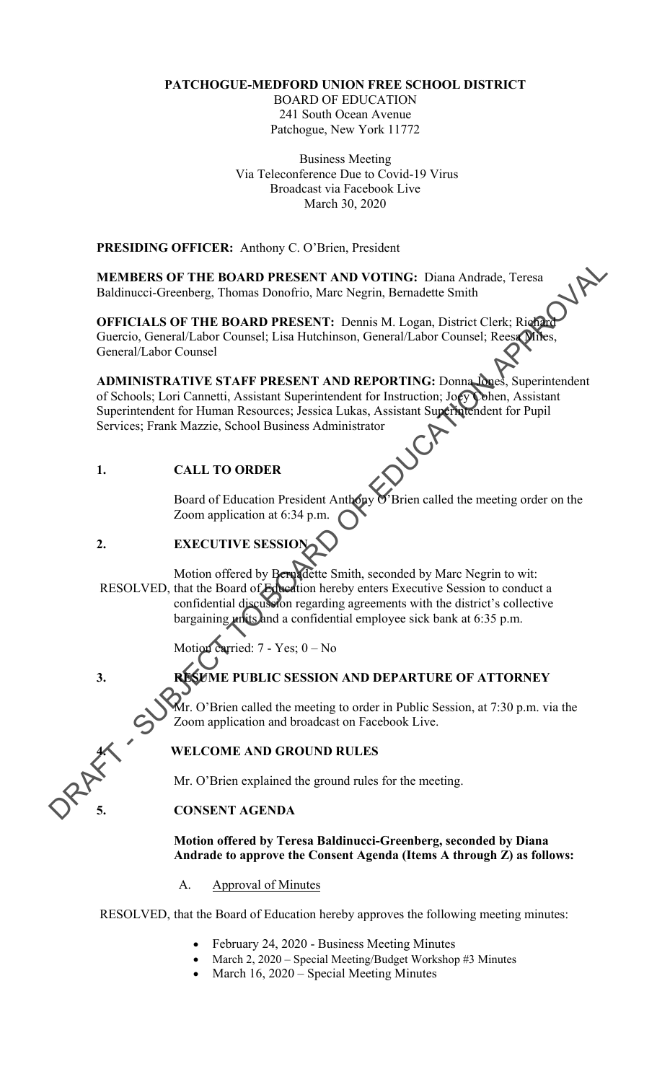### **PATCHOGUE-MEDFORD UNION FREE SCHOOL DISTRICT**

BOARD OF EDUCATION 241 South Ocean Avenue Patchogue, New York 11772

Business Meeting Via Teleconference Due to Covid-19 Virus Broadcast via Facebook Live March 30, 2020

**PRESIDING OFFICER:** Anthony C. O'Brien, President

**MEMBERS OF THE BOARD PRESENT AND VOTING:** Diana Andrade, Teresa Baldinucci-Greenberg, Thomas Donofrio, Marc Negrin, Bernadette Smith

**OFFICIALS OF THE BOARD PRESENT: Dennis M. Logan, District Clerk; Richard** Guercio, General/Labor Counsel; Lisa Hutchinson, General/Labor Counsel; Reesa Miles, General/Labor Counsel

**MEMBERS OF THE BOARD PRESENT AND VOITNG:** Diana Andrade, Teresa<br>
Baldimacei-Greenberg, Thomas Donofrico, Mare Negrin, Bernadctic Smith<br>
OFFICIALS OF THE BOARD PRESENT: Demini M. Logarn, District Clerk; Right<br>
Guercico, G **ADMINISTRATIVE STAFF PRESENT AND REPORTING:** Donna Jones, Superintendent of Schools; Lori Cannetti, Assistant Superintendent for Instruction; Joey Cohen, Assistant Superintendent for Human Resources; Jessica Lukas, Assistant Superintendent for Pupil Services; Frank Mazzie, School Business Administrator

### **1. CALL TO ORDER**

Board of Education President Anthony O'Brien called the meeting order on the Zoom application at 6:34 p.m.

## **2. EXECUTIVE SESSION**

Motion offered by Bernadette Smith, seconded by Marc Negrin to wit: RESOLVED, that the Board of Education hereby enters Executive Session to conduct a confidential discussion regarding agreements with the district's collective bargaining units and a confidential employee sick bank at 6:35 p.m.

Motion carried: 7 - Yes; 0 – No

# **3. RESUME PUBLIC SESSION AND DEPARTURE OF ATTORNEY**

Mr. O'Brien called the meeting to order in Public Session, at 7:30 p.m. via the Zoom application and broadcast on Facebook Live.

### **4. WELCOME AND GROUND RULES**

Mr. O'Brien explained the ground rules for the meeting.

### **5. CONSENT AGENDA**

**Motion offered by Teresa Baldinucci-Greenberg, seconded by Diana Andrade to approve the Consent Agenda (Items A through Z) as follows:** 

A. Approval of Minutes

RESOLVED, that the Board of Education hereby approves the following meeting minutes:

- February 24, 2020 Business Meeting Minutes
- March 2, 2020 Special Meeting/Budget Workshop #3 Minutes
- March 16, 2020 Special Meeting Minutes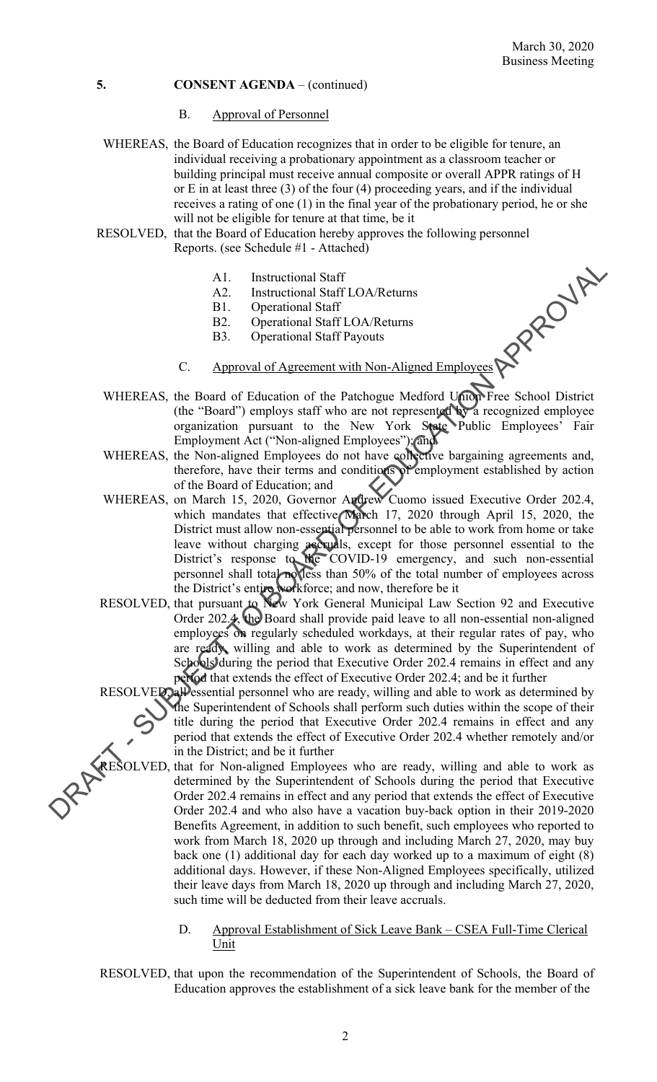- B. Approval of Personnel
- WHEREAS, the Board of Education recognizes that in order to be eligible for tenure, an individual receiving a probationary appointment as a classroom teacher or building principal must receive annual composite or overall APPR ratings of H or E in at least three (3) of the four (4) proceeding years, and if the individual receives a rating of one (1) in the final year of the probationary period, he or she will not be eligible for tenure at that time, be it
- RESOLVED, that the Board of Education hereby approves the following personnel Reports. (see Schedule #1 - Attached)
	- A1. Instructional Staff
	- A2. Instructional Staff LOA/Returns
	-
	- B1. Operational Staff<br>B2. Operational Staff LOA/Returns
	- B3. Operational Staff Payouts
	- C. Approval of Agreement with Non-Aligned Employees

 $\ddot{\phantom{0}}$ 

- WHEREAS, the Board of Education of the Patchogue Medford Union Free School District (the "Board") employs staff who are not represented by a recognized employee organization pursuant to the New York State Public Employees' Fair Employment Act ("Non-aligned Employees"); and
- WHEREAS, the Non-aligned Employees do not have collective bargaining agreements and, therefore, have their terms and conditions of employment established by action of the Board of Education; and
- All. Instructional Staff<br>
2. Instructional Staff<br>
2. Instructional Staff<br>
2. Coperational Staff<br>
2. Coperational Staff<br>
2. Coperational Staff<br>
2. Coperational Staff<br>
2. Coperations Staff CAO-Returns<br>
2. Appropriate of the of the Board of Education; and<br>WHEREAS, on March 15, 2020, Governor Andrew Cuomo issued Executive Order 202.4, which mandates that effective March 17, 2020 through April 15, 2020, the District must allow non-essential personnel to be able to work from home or take leave without charging accruals, except for those personnel essential to the District's response to the COVID-19 emergency, and such non-essential personnel shall total no less than 50% of the total number of employees across the District's entire workforce; and now, therefore be it
	- RESOLVED, that pursuant to New York General Municipal Law Section 92 and Executive Order 202.4, the Board shall provide paid leave to all non-essential non-aligned employees on regularly scheduled workdays, at their regular rates of pay, who are ready, willing and able to work as determined by the Superintendent of Schools during the period that Executive Order 202.4 remains in effect and any period that extends the effect of Executive Order 202.4; and be it further

RESOLVED, all essential personnel who are ready, willing and able to work as determined by the Superintendent of Schools shall perform such duties within the scope of their title during the period that Executive Order 202.4 remains in effect and any period that extends the effect of Executive Order 202.4 whether remotely and/or in the District; and be it further

RESOLVED, that for Non-aligned Employees who are ready, willing and able to work as determined by the Superintendent of Schools during the period that Executive Order 202.4 remains in effect and any period that extends the effect of Executive Order 202.4 and who also have a vacation buy-back option in their 2019-2020 Benefits Agreement, in addition to such benefit, such employees who reported to work from March 18, 2020 up through and including March 27, 2020, may buy back one (1) additional day for each day worked up to a maximum of eight (8) additional days. However, if these Non-Aligned Employees specifically, utilized their leave days from March 18, 2020 up through and including March 27, 2020, such time will be deducted from their leave accruals.

> D. Approval Establishment of Sick Leave Bank – CSEA Full-Time Clerical Unit

RESOLVED, that upon the recommendation of the Superintendent of Schools, the Board of Education approves the establishment of a sick leave bank for the member of the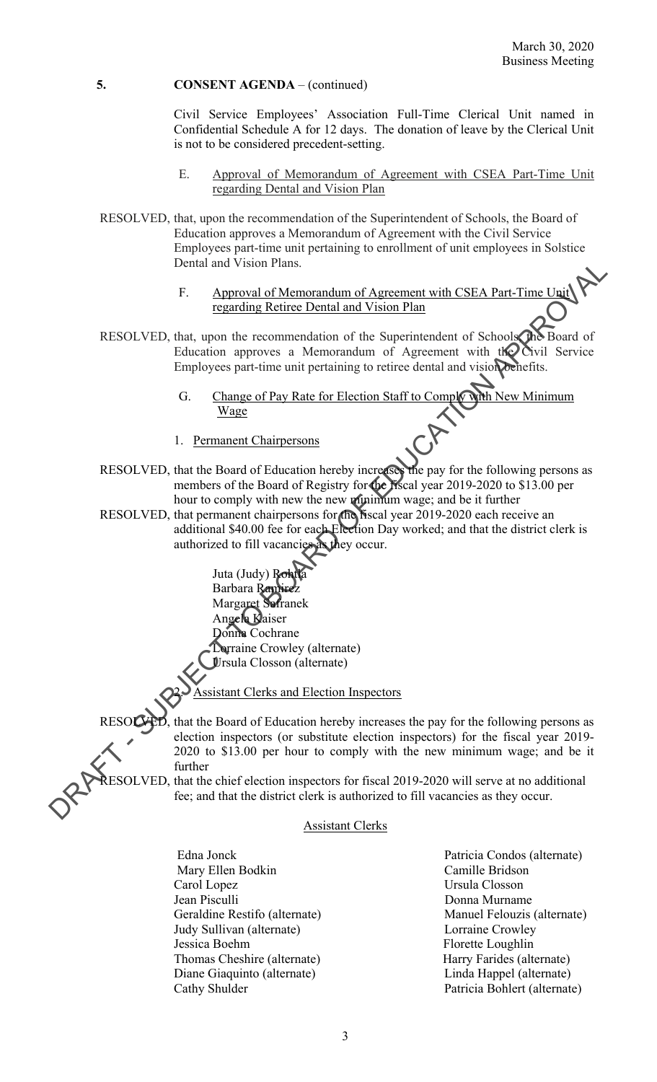Civil Service Employees' Association Full-Time Clerical Unit named in Confidential Schedule A for 12 days. The donation of leave by the Clerical Unit is not to be considered precedent-setting.

- E. Approval of Memorandum of Agreement with CSEA Part-Time Unit regarding Dental and Vision Plan
- RESOLVED, that, upon the recommendation of the Superintendent of Schools, the Board of Education approves a Memorandum of Agreement with the Civil Service Employees part-time unit pertaining to enrollment of unit employees in Solstice Dental and Vision Plans.
	- F. Approval of Memorandum of Agreement with CSEA Part-Time Unit regarding Retiree Dental and Vision Plan
- RESOLVED, that, upon the recommendation of the Superintendent of Schools, the Board of Education approves a Memorandum of Agreement with the Civil Service Employees part-time unit pertaining to retiree dental and vision benefits.
	- G. Change of Pay Rate for Election Staff to Comply with New Minimum Wage
	- 1. Permanent Chairpersons
- RESOLVED, that the Board of Education hereby increases the pay for the following persons as members of the Board of Registry for the fiscal year 2019-2020 to \$13.00 per hour to comply with new the new minimum wage; and be it further
- RESOLVED, that permanent chairpersons for the fiscal year 2019-2020 each receive an additional \$40.00 fee for each Election Day worked; and that the district clerk is authorized to fill vacancies as they occur.

Juta (Judy) Re Barbara Ram Margaret Safranek Angela Kaiser Donna Cochrane Lorraine Crowley (alternate) Ursula Closson (alternate)

ant Clerks and Election Inspectors

Dental and Vision Plans.<br>
F. Approxed of Meriodian Mission Plans<br>
Textacology reading Retire Dental and Vision Plans<br>
RESOLVED, that, upon the recommendation of the Superintendent of Schools One Board of<br>
Englection appro that the Board of Education hereby increases the pay for the following persons as election inspectors (or substitute election inspectors) for the fiscal year 2019- 2020 to \$13.00 per hour to comply with the new minimum wage; and be it further

RESOLVED, that the chief election inspectors for fiscal 2019-2020 will serve at no additional fee; and that the district clerk is authorized to fill vacancies as they occur.

### Assistant Clerks

- Jessica Boehm Edna Jonck Patricia Condos (alternate) Mary Ellen Bodkin Camille Bridson Carol Lopez Ursula Closson Jean Pisculli Donna Murname Geraldine Restifo (alternate) Manuel Felouzis (alternate) Judy Sullivan (alternate) Lorraine Crowley Thomas Cheshire (alternate) Harry Farides (alternate) Diane Giaquinto (alternate) Linda Happel (alternate) Cathy Shulder Patricia Bohlert (alternate)
	- Donna Murname Florette Loughlin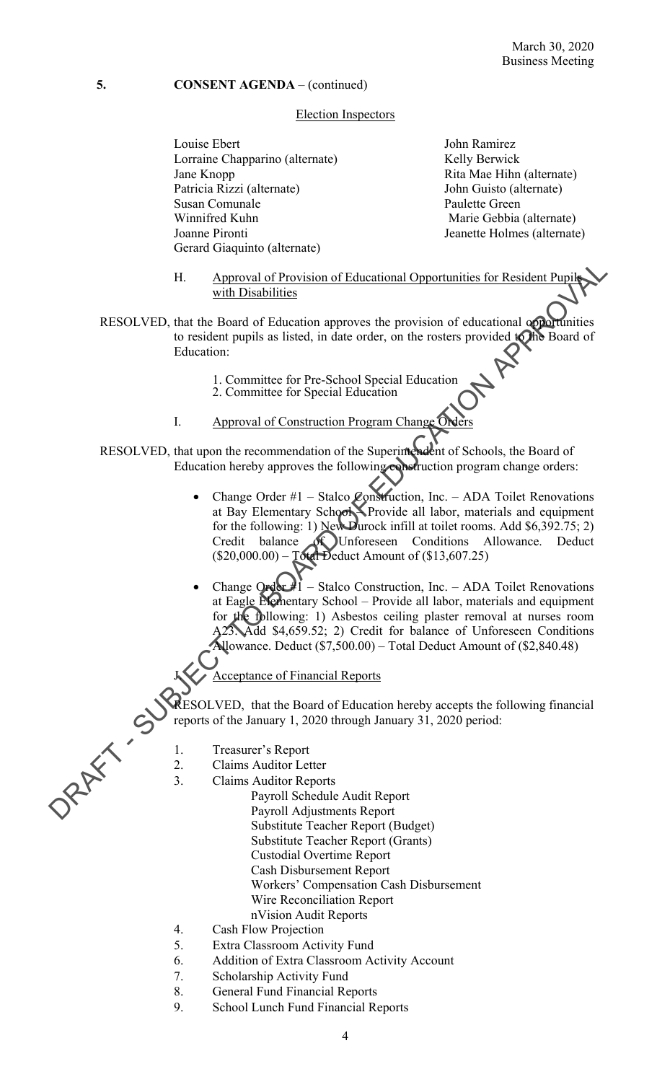### Election Inspectors

Louise Ebert **John Ramirez** Lorraine Chapparino (alternate) Kelly Berwick Jane Knopp Rita Mae Hihn (alternate) Patricia Rizzi (alternate) John Guisto (alternate) Susan Comunale Paulette Green Winnifred Kuhn Marie Gebbia (alternate) Joanne Pironti Jeanette Holmes (alternate) Gerard Giaquinto (alternate)

- H. Approval of Provision of Educational Opportunities for Resident Pupile with Disabilities
- to resident pupils as listed, in date order, on the rosters provided to the Board of RESOLVED, that the Board of Education approves the provision of educational opportunities Education:
	- 1. Committee for Pre-School Special Education
	- 2. Committee for Special Education
	- I. Approval of Construction Program Change
- RESOLVED, that upon the recommendation of the Superintendent of Schools, the Board of Education hereby approves the following construction program change orders:
- H. Approval of Provision of Educational Opportunities for Resident Pupils<br>
RESOLVED, that the Roard of Education:<br>
to resident pupils as listed, in date order, on the rosters provided CRB Board of<br>
Education:<br>
L. Committe Change Order #1 – Stalco Construction, Inc. – ADA Toilet Renovations at Bay Elementary School Provide all labor, materials and equipment for the following: 1) New Durock infill at toilet rooms. Add \$6,392.75; 2) Credit balance of Unforeseen Conditions Allowance. Deduct  $(\$20,000.00) - \text{Total Deduct Amount of }(\$13,607.25)$ 
	- for the following: 1) Asbestos ceiling plaster removal at nurses room Change Order  $\sharp I$  – Stalco Construction, Inc. – ADA Toilet Renovations at Eagle Elementary School – Provide all labor, materials and equipment A23. Add \$4,659.52; 2) Credit for balance of Unforeseen Conditions Allowance. Deduct (\$7,500.00) – Total Deduct Amount of (\$2,840.48)
	- Acceptance of Financial Reports

reports of the January 1, 2020 through January 31, 2020 period:<br>1. Treasurer's Report RESOLVED, that the Board of Education hereby accepts the following financial

- 
- 2. Claims Auditor Letter
- 3. Claims Auditor Reports
	- Payroll Schedule Audit Report
	- Payroll Adjustments Report
	- Substitute Teacher Report (Budget)
	- Substitute Teacher Report (Grants)
	- Custodial Overtime Report
	- Cash Disbursement Report
	- Workers' Compensation Cash Disbursement
	- Wire Reconciliation Report
	- nVision Audit Reports
- 4. Cash Flow Projection 5. Extra Classroom Activity Fund
- 
- 6. Addition of Extra Classroom Activity Account
- 7. Scholarship Activity Fund
- 8. General Fund Financial Reports
- 9. School Lunch Fund Financial Reports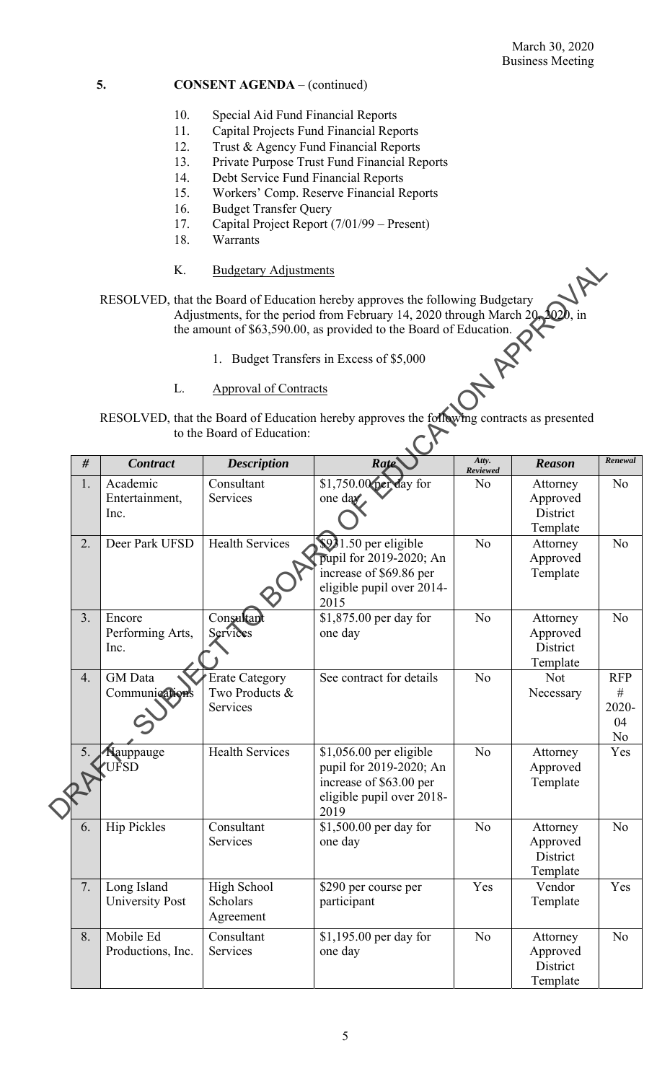- 10. Special Aid Fund Financial Reports
- 11. Capital Projects Fund Financial Reports
- 12. Trust & Agency Fund Financial Reports
- 13. Private Purpose Trust Fund Financial Reports
- 14. Debt Service Fund Financial Reports
- 15. Workers' Comp. Reserve Financial Reports
- 16. Budget Transfer Query
- 17. Capital Project Report (7/01/99 Present)
- 18. Warrants
- K. Budgetary Adjustments
- RESOLVED, that the Board of Education hereby approves the following Budgetary Adjustments, for the period from February 14, 2020 through March 20, 2020, in the amount of \$63,590.00, as provided to the Board of Education.
	- 1. Budget Transfers in Excess of \$5,000
	- L. Approval of Contracts

|                                                                                                                          |    | Κ.                                    | <b>Budgetary Adjustments</b>                        |                                                                                                                                                                                                                                 |                   |                                              |                                         |  |  |  |  |  |
|--------------------------------------------------------------------------------------------------------------------------|----|---------------------------------------|-----------------------------------------------------|---------------------------------------------------------------------------------------------------------------------------------------------------------------------------------------------------------------------------------|-------------------|----------------------------------------------|-----------------------------------------|--|--|--|--|--|
|                                                                                                                          |    |                                       |                                                     | RESOLVED, that the Board of Education hereby approves the following Budgetary<br>Adjustments, for the period from February 14, 2020 through March 20, 2020<br>the amount of \$63,590.00, as provided to the Board of Education. |                   |                                              |                                         |  |  |  |  |  |
|                                                                                                                          |    |                                       |                                                     | 1. Budget Transfers in Excess of \$5,000                                                                                                                                                                                        |                   |                                              |                                         |  |  |  |  |  |
|                                                                                                                          |    | L.<br><b>Approval of Contracts</b>    |                                                     |                                                                                                                                                                                                                                 |                   |                                              |                                         |  |  |  |  |  |
|                                                                                                                          |    |                                       |                                                     |                                                                                                                                                                                                                                 |                   |                                              |                                         |  |  |  |  |  |
| RESOLVED, that the Board of Education hereby approves the following contracts as presented<br>to the Board of Education: |    |                                       |                                                     |                                                                                                                                                                                                                                 |                   |                                              |                                         |  |  |  |  |  |
|                                                                                                                          | #  | <b>Contract</b>                       | <b>Description</b>                                  | Rate                                                                                                                                                                                                                            | Atty.<br>Reviewed | <b>Reason</b>                                | Renewal                                 |  |  |  |  |  |
|                                                                                                                          | 1. | Academic<br>Entertainment,<br>Inc.    | Consultant<br>Services                              | $\sqrt{1750.00}$ per day for<br>one day                                                                                                                                                                                         | No                | Attorney<br>Approved<br>District<br>Template | N <sub>o</sub>                          |  |  |  |  |  |
|                                                                                                                          | 2. | Deer Park UFSD                        | <b>Health Services</b>                              | $$931.50$ per eligible<br>pupil for 2019-2020; An<br>increase of \$69.86 per<br>eligible pupil over 2014-<br>2015                                                                                                               | No                | Attorney<br>Approved<br>Template             | N <sub>o</sub>                          |  |  |  |  |  |
|                                                                                                                          | 3. | Encore<br>Performing Arts,<br>Inc.    | Consultan<br>Services                               | \$1,875.00 per day for<br>one day                                                                                                                                                                                               | N <sub>o</sub>    | Attorney<br>Approved<br>District<br>Template | N <sub>o</sub>                          |  |  |  |  |  |
|                                                                                                                          | 4. | <b>GM</b> Data<br>Communications      | <b>Erate Category</b><br>Two Products &<br>Services | See contract for details                                                                                                                                                                                                        | N <sub>o</sub>    | <b>Not</b><br>Necessary                      | <b>RFP</b><br>$\#$<br>2020-<br>04<br>No |  |  |  |  |  |
|                                                                                                                          | 5. | Nauppauge<br><b>UFSD</b>              | <b>Health Services</b>                              | \$1,056.00 per eligible<br>pupil for 2019-2020; An<br>increase of \$63.00 per<br>eligible pupil over 2018-<br>2019                                                                                                              | N <sub>o</sub>    | Attorney<br>Approved<br>Template             | Yes                                     |  |  |  |  |  |
|                                                                                                                          | 6. | <b>Hip Pickles</b>                    | Consultant<br>Services                              | $$1,500.00$ per day for<br>one day                                                                                                                                                                                              | N <sub>o</sub>    | Attorney<br>Approved<br>District<br>Template | N <sub>o</sub>                          |  |  |  |  |  |
|                                                                                                                          | 7. | Long Island<br><b>University Post</b> | High School<br><b>Scholars</b><br>Agreement         | \$290 per course per<br>participant                                                                                                                                                                                             | Yes               | Vendor<br>Template                           | Yes                                     |  |  |  |  |  |
|                                                                                                                          | 8. | Mobile Ed<br>Productions, Inc.        | Consultant<br>Services                              | $$1,195.00$ per day for<br>one day                                                                                                                                                                                              | N <sub>o</sub>    | Attorney<br>Approved<br>District<br>Template | N <sub>o</sub>                          |  |  |  |  |  |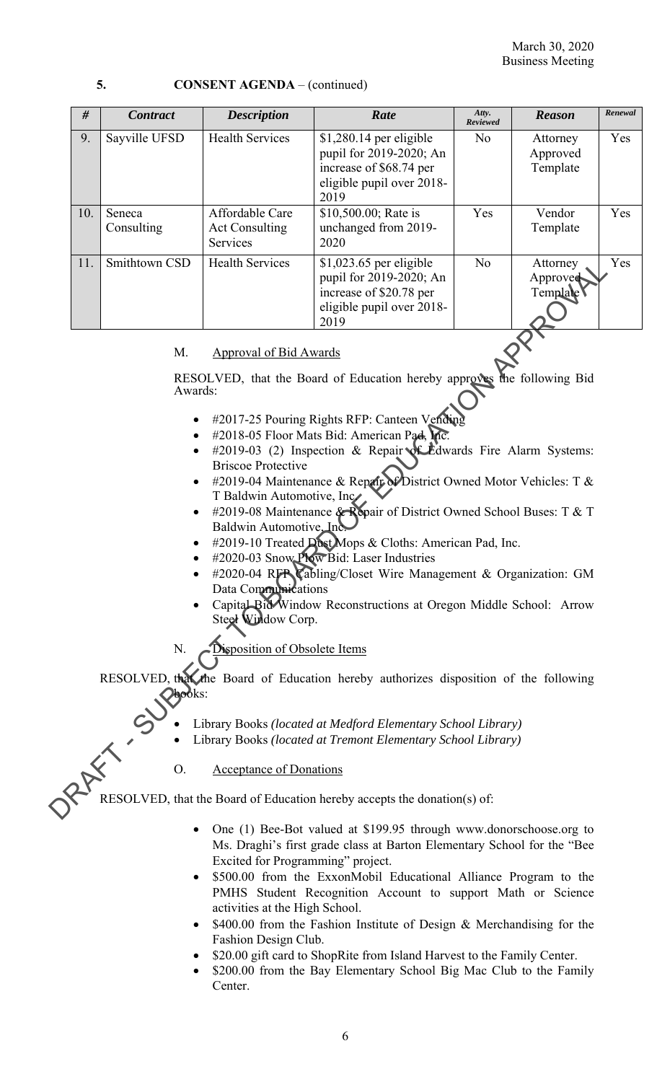| 5. | <b>CONSENT AGENDA</b> – (continued) |
|----|-------------------------------------|
|----|-------------------------------------|

| #                                                                                                                                                                                                                                                                                                                                                                                                                                                                                                                                                                                                                                                                                                                                                                                                               | <b>Contract</b>                                                                    | <b>Description</b>                                   | Rate                                                                                                                | Atty.<br>Reviewed | <b>Reason</b>                    | Renewal |  |  |  |  |  |  |
|-----------------------------------------------------------------------------------------------------------------------------------------------------------------------------------------------------------------------------------------------------------------------------------------------------------------------------------------------------------------------------------------------------------------------------------------------------------------------------------------------------------------------------------------------------------------------------------------------------------------------------------------------------------------------------------------------------------------------------------------------------------------------------------------------------------------|------------------------------------------------------------------------------------|------------------------------------------------------|---------------------------------------------------------------------------------------------------------------------|-------------------|----------------------------------|---------|--|--|--|--|--|--|
| 9.                                                                                                                                                                                                                                                                                                                                                                                                                                                                                                                                                                                                                                                                                                                                                                                                              | Sayville UFSD                                                                      | <b>Health Services</b>                               | $$1,280.14$ per eligible<br>pupil for 2019-2020; An<br>increase of \$68.74 per<br>eligible pupil over 2018-<br>2019 | N <sub>o</sub>    | Attorney<br>Approved<br>Template | Yes     |  |  |  |  |  |  |
| 10.                                                                                                                                                                                                                                                                                                                                                                                                                                                                                                                                                                                                                                                                                                                                                                                                             | Seneca<br>Consulting                                                               | Affordable Care<br><b>Act Consulting</b><br>Services | \$10,500.00; Rate is<br>unchanged from 2019-<br>2020                                                                | Yes               | Vendor<br>Template               | Yes     |  |  |  |  |  |  |
| 11.                                                                                                                                                                                                                                                                                                                                                                                                                                                                                                                                                                                                                                                                                                                                                                                                             | Smithtown CSD                                                                      | <b>Health Services</b>                               | $$1,023.65$ per eligible<br>pupil for 2019-2020; An<br>increase of \$20.78 per<br>eligible pupil over 2018-<br>2019 | N <sub>o</sub>    | Attorney<br>Approved<br>Template | Yes     |  |  |  |  |  |  |
| M.<br><b>Approval of Bid Awards</b>                                                                                                                                                                                                                                                                                                                                                                                                                                                                                                                                                                                                                                                                                                                                                                             |                                                                                    |                                                      |                                                                                                                     |                   |                                  |         |  |  |  |  |  |  |
|                                                                                                                                                                                                                                                                                                                                                                                                                                                                                                                                                                                                                                                                                                                                                                                                                 | RESOLVED, that the Board of Education hereby approves the following Bid<br>Awards: |                                                      |                                                                                                                     |                   |                                  |         |  |  |  |  |  |  |
| #2017-25 Pouring Rights RFP: Canteen Vending<br>$\bullet$<br>#2018-05 Floor Mats Bid: American Pad, Mc.<br>$\bullet$<br>#2019-03 (2) Inspection & Repair & Edwards Fire Alarm Systems:<br>$\bullet$<br><b>Briscoe Protective</b><br>#2019-04 Maintenance & Repair of District Owned Motor Vehicles: T &<br>$\bullet$<br>T Baldwin Automotive, Inc<br>#2019-08 Maintenance & Repair of District Owned School Buses: T & T<br>$\bullet$<br>Baldwin Automotive, Ind<br>#2019-10 Treated Dost Mops & Cloths: American Pad, Inc.<br>$\bullet$<br>#2020-03 Snow Plow Bid: Laser Industries<br>#2020-04 RFP Cabling/Closet Wire Management & Organization: GM<br>Data Communications<br>Capital Bid Window Reconstructions at Oregon Middle School: Arrow<br>Steel Window Corp.<br>Disposition of Obsolete Items<br>N. |                                                                                    |                                                      |                                                                                                                     |                   |                                  |         |  |  |  |  |  |  |
|                                                                                                                                                                                                                                                                                                                                                                                                                                                                                                                                                                                                                                                                                                                                                                                                                 | <b>Jhooks:</b>                                                                     |                                                      | RESOLVED, that the Board of Education hereby authorizes disposition of the following                                |                   |                                  |         |  |  |  |  |  |  |
| Library Books (located at Medford Elementary School Library)<br>Library Books (located at Tremont Elementary School Library)                                                                                                                                                                                                                                                                                                                                                                                                                                                                                                                                                                                                                                                                                    |                                                                                    |                                                      |                                                                                                                     |                   |                                  |         |  |  |  |  |  |  |
|                                                                                                                                                                                                                                                                                                                                                                                                                                                                                                                                                                                                                                                                                                                                                                                                                 | O.                                                                                 | <b>Acceptance of Donations</b>                       |                                                                                                                     |                   |                                  |         |  |  |  |  |  |  |
|                                                                                                                                                                                                                                                                                                                                                                                                                                                                                                                                                                                                                                                                                                                                                                                                                 |                                                                                    |                                                      | RESOLVED, that the Board of Education hereby accepts the donation(s) of:                                            |                   |                                  |         |  |  |  |  |  |  |

### M. Approval of Bid Awards

- #2017-25 Pouring Rights RFP: Canteen Vending
- #2018-05 Floor Mats Bid: American Pad, Inc.
- #2019-03 (2) Inspection & Repair of Edwards Fire Alarm Systems: Briscoe Protective
- #2019-04 Maintenance & Repair of District Owned Motor Vehicles: T & T Baldwin Automotive, Inc.
- #2019-08 Maintenance & Repair of District Owned School Buses: T & T Baldwin Automotive, Inc.
- #2019-10 Treated Dust Mops & Cloths: American Pad, Inc.
- #2020-03 Snow Plow Bid: Laser Industries
- #2020-04 RFP Cabling/Closet Wire Management & Organization: GM Data Communications
- Capital Bid Window Reconstructions at Oregon Middle School: Arrow Steel Window Corp.
- Disposition of Obsolete Items

- Library Books *(located at Medford Elementary School Library)* 
	- Library Books *(located at Tremont Elementary School Library)*

- One (1) Bee-Bot valued at \$199.95 through www.donorschoose.org to Ms. Draghi's first grade class at Barton Elementary School for the "Bee Excited for Programming" project.
- \$500.00 from the ExxonMobil Educational Alliance Program to the PMHS Student Recognition Account to support Math or Science activities at the High School.
- \$400.00 from the Fashion Institute of Design & Merchandising for the Fashion Design Club.
- \$20.00 gift card to ShopRite from Island Harvest to the Family Center.
- \$200.00 from the Bay Elementary School Big Mac Club to the Family Center.

6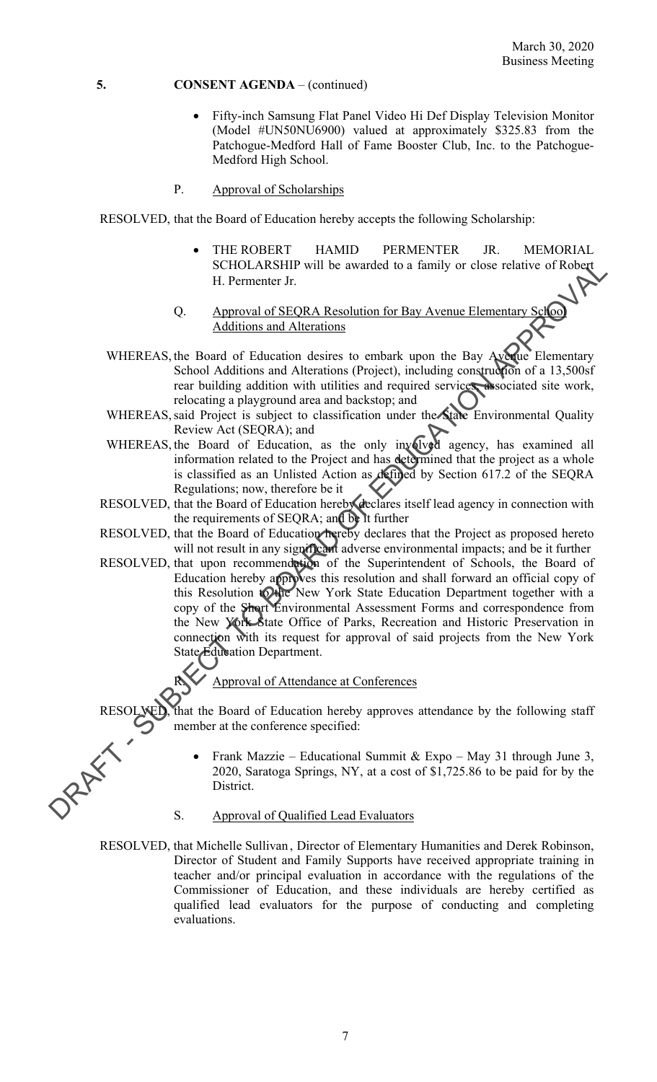- (Model #UN50NU6900) valued at approximately \$325.83 from the Fifty-inch Samsung Flat Panel Video Hi Def Display Television Monitor Patchogue-Medford Hall of Fame Booster Club, Inc. to the Patchogue-Medford High School.
- P. Approval of Scholarships

RESOLVED, that the Board of Education hereby accepts the following Scholarship:

 THE ROBERT HAMID PERMENTER JR. MEMORIAL SCHOLARSHIP will be awarded to a family or close relative of Robert H. Permenter Jr.

### Q. Approval of SEQRA Resolution for Bay Avenue Elementary School Additions and Alterations

- WHEREAS, the Board of Education desires to embark upon the Bay Avenue Elementary School Additions and Alterations (Project), including construction of a 13,500sf rear building addition with utilities and required services, associated site work, relocating a playground area and backstop; and
- WHEREAS, said Project is subject to classification under the State Environmental Quality Review Act (SEQRA); and
- WHEREAS, the Board of Education, as the only involved agency, has examined all information related to the Project and has determined that the project as a whole is classified as an Unlisted Action as defined by Section 617.2 of the SEQRA Regulations; now, therefore be it
- RESOLVED, that the Board of Education hereby declares itself lead agency in connection with the requirements of SEQRA; and be it further
- RESOLVED, that the Board of Education hereby declares that the Project as proposed hereto will not result in any significant adverse environmental impacts; and be it further
- SCHOLARITY will be awarded to a family or close relative of Robert<br>
H. Permenter Jr.<br>
(). Approval of SEQRA Resolution for Bay Avenue Elementary<br>
Additions and Alterniums<br>
WHEREAS, the Booth of Education section desires t RESOLVED, that upon recommendation of the Superintendent of Schools, the Board of Education hereby approves this resolution and shall forward an official copy of this Resolution to the New York State Education Department together with a copy of the Short Environmental Assessment Forms and correspondence from the New York State Office of Parks, Recreation and Historic Preservation in connection with its request for approval of said projects from the New York State Education Department.

### Approval of Attendance at Conferences

RESOLVED, that the Board of Education hereby approves attendance by the following staff member at the conference specified:

- Frank Mazzie Educational Summit & Expo May 31 through June 3, 2020, Saratoga Springs, NY, at a cost of \$1,725.86 to be paid for by the District.
- S. Approval of Qualified Lead Evaluators
- RESOLVED, that Michelle Sullivan , Director of Elementary Humanities and Derek Robinson, teacher and/or principal evaluation in accordance with the regulations of the Director of Student and Family Supports have received appropriate training in Commissioner of Education, and these individuals are hereby certified as qualified lead evaluators for the purpose of conducting and completing evaluations.

7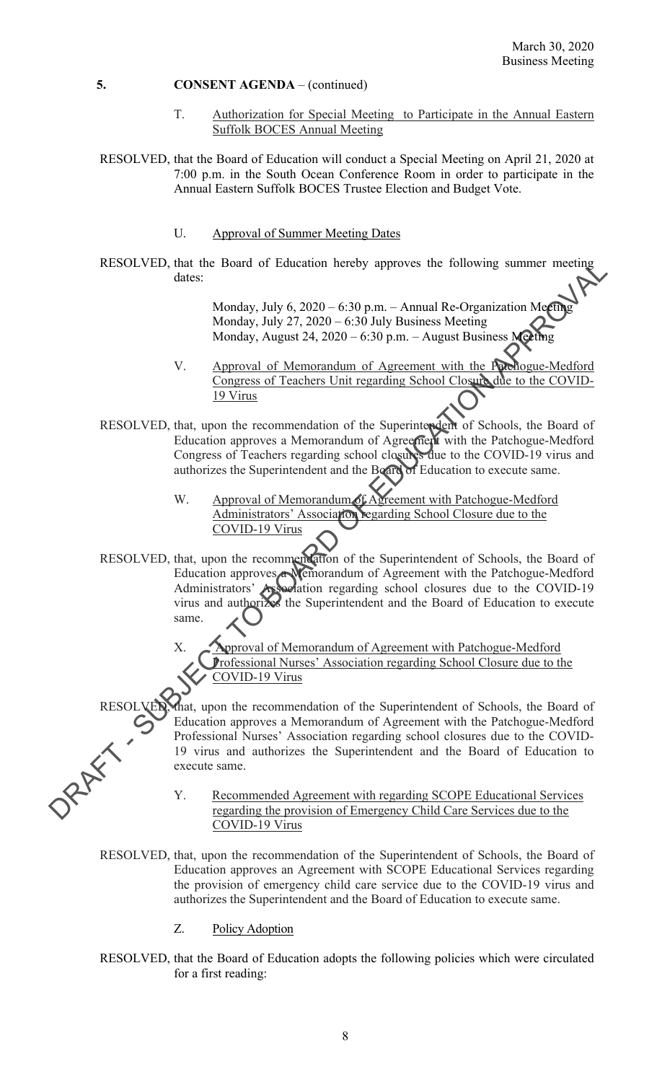- T. Authorization for Special Meeting to Participate in the Annual Eastern Suffolk BOCES Annual Meeting
- RESOLVED, that the Board of Education will conduct a Special Meeting on April 21, 2020 at 7:00 p.m. in the South Ocean Conference Room in order to participate in the Annual Eastern Suffolk BOCES Trustee Election and Budget Vote.
	- U. Approval of Summer Meeting Dates
- RESOLVED, that the Board of Education hereby approves the following summer meeting dates:

Monday, July 6, 2020 – 6:30 p.m. – Annual Re-Organization Meeting Monday, July 27, 2020 – 6:30 July Business Meeting Monday, August 24, 2020 – 6:30 p.m. – August Business Meeting

- V. Approval of Memorandum of Agreement with the Patchogue-Medford Congress of Teachers Unit regarding School Closure due to the COVID-19 Virus
- RESOLVED, that, upon the recommendation of the Superintendent of Schools, the Board of Education approves a Memorandum of Agreement with the Patchogue-Medford Congress of Teachers regarding school closures due to the COVID-19 virus and authorizes the Superintendent and the Board of Education to execute same.
	- W. Approval of Memorandum of Agreement with Patchogue-Medford Administrators' Association regarding School Closure due to the COVID-19 Virus
- RESOLVED, that, then be a streament term and Re-Organization Media, the streament of the streement with the Board of Education approves the Substitute Media,  $\frac{10 \text{ V/mol}}{10 \text{ V/mol}}$  and  $\frac{10 \text{ V/mol}}{10 \text{ V/mol}}$ . Approved of RESOLVED, that, upon the recommendation of the Superintendent of Schools, the Board of Education approves **Nemorandum** of Agreement with the Patchogue-Medford Administrators' **Association** regarding school closures due to the COVID-19 virus and authorizes the Superintendent and the Board of Education to execute same.

X. Approval of Memorandum of Agreement with Patchogue-Medford Professional Nurses' Association regarding School Closure due to the COVID-19 Virus

RESOLVED, that, upon the recommendation of the Superintendent of Schools, the Board of Education approves a Memorandum of Agreement with the Patchogue-Medford Professional Nurses' Association regarding school closures due to the COVID-19 virus and authorizes the Superintendent and the Board of Education to execute same.

> Y. Recommended Agreement with regarding SCOPE Educational Services regarding the provision of Emergency Child Care Services due to the COVID-19 Virus

RESOLVED, that, upon the recommendation of the Superintendent of Schools, the Board of Education approves an Agreement with SCOPE Educational Services regarding the provision of emergency child care service due to the COVID-19 virus and authorizes the Superintendent and the Board of Education to execute same.

- Z. Policy Adoption
- RESOLVED, that the Board of Education adopts the following policies which were circulated for a first reading: